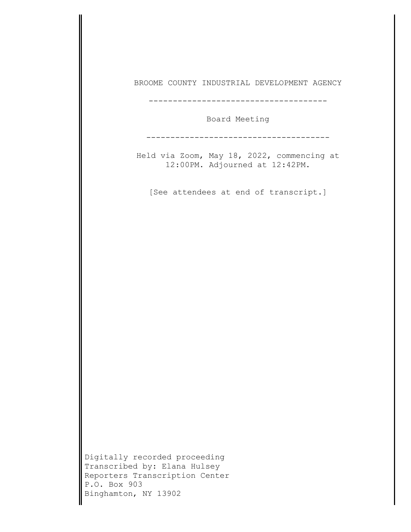| BROOME COUNTY INDUSTRIAL DEVELOPMENT AGENCY                                                                                             |
|-----------------------------------------------------------------------------------------------------------------------------------------|
| Board Meeting                                                                                                                           |
| Held via Zoom, May 18, 2022, commencing at<br>12:00PM. Adjourned at 12:42PM.                                                            |
| [See attendees at end of transcript.]                                                                                                   |
|                                                                                                                                         |
|                                                                                                                                         |
|                                                                                                                                         |
|                                                                                                                                         |
|                                                                                                                                         |
|                                                                                                                                         |
| Digitally recorded proceeding<br>Transcribed by: Elana Hulsey<br>Reporters Transcription Center<br>P.O. Box 903<br>Binghamton, NY 13902 |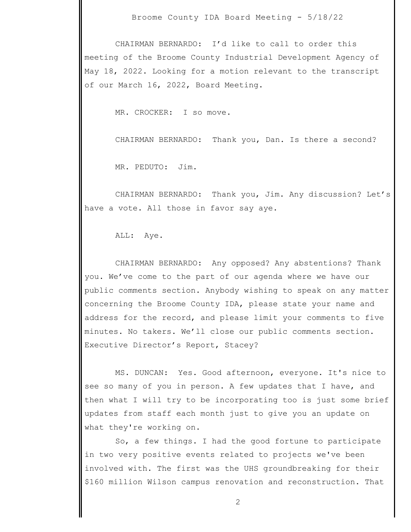CHAIRMAN BERNARDO: I'd like to call to order this meeting of the Broome County Industrial Development Agency of May 18, 2022. Looking for a motion relevant to the transcript of our March 16, 2022, Board Meeting.

MR. CROCKER: I so move.

CHAIRMAN BERNARDO: Thank you, Dan. Is there a second?

MR. PEDUTO: Jim.

 CHAIRMAN BERNARDO: Thank you, Jim. Any discussion? Let's have a vote. All those in favor say aye.

ALL: Aye.

 CHAIRMAN BERNARDO: Any opposed? Any abstentions? Thank you. We've come to the part of our agenda where we have our public comments section. Anybody wishing to speak on any matter concerning the Broome County IDA, please state your name and address for the record, and please limit your comments to five minutes. No takers. We'll close our public comments section. Executive Director's Report, Stacey?

 MS. DUNCAN: Yes. Good afternoon, everyone. It's nice to see so many of you in person. A few updates that I have, and then what I will try to be incorporating too is just some brief updates from staff each month just to give you an update on what they're working on.

 So, a few things. I had the good fortune to participate in two very positive events related to projects we've been involved with. The first was the UHS groundbreaking for their \$160 million Wilson campus renovation and reconstruction. That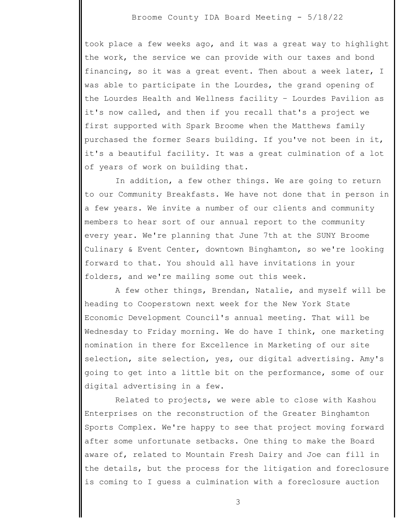took place a few weeks ago, and it was a great way to highlight the work, the service we can provide with our taxes and bond financing, so it was a great event. Then about a week later, I was able to participate in the Lourdes, the grand opening of the Lourdes Health and Wellness facility – Lourdes Pavilion as it's now called, and then if you recall that's a project we first supported with Spark Broome when the Matthews family purchased the former Sears building. If you've not been in it, it's a beautiful facility. It was a great culmination of a lot of years of work on building that.

 In addition, a few other things. We are going to return to our Community Breakfasts. We have not done that in person in a few years. We invite a number of our clients and community members to hear sort of our annual report to the community every year. We're planning that June 7th at the SUNY Broome Culinary & Event Center, downtown Binghamton, so we're looking forward to that. You should all have invitations in your folders, and we're mailing some out this week.

 A few other things, Brendan, Natalie, and myself will be heading to Cooperstown next week for the New York State Economic Development Council's annual meeting. That will be Wednesday to Friday morning. We do have I think, one marketing nomination in there for Excellence in Marketing of our site selection, site selection, yes, our digital advertising. Amy's going to get into a little bit on the performance, some of our digital advertising in a few.

 Related to projects, we were able to close with Kashou Enterprises on the reconstruction of the Greater Binghamton Sports Complex. We're happy to see that project moving forward after some unfortunate setbacks. One thing to make the Board aware of, related to Mountain Fresh Dairy and Joe can fill in the details, but the process for the litigation and foreclosure is coming to I guess a culmination with a foreclosure auction

3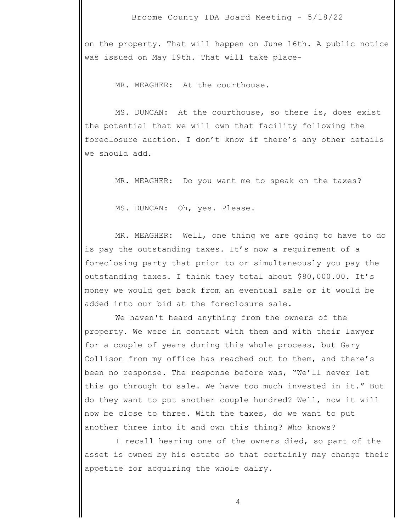on the property. That will happen on June 16th. A public notice was issued on May 19th. That will take place-

MR. MEAGHER: At the courthouse.

 MS. DUNCAN: At the courthouse, so there is, does exist the potential that we will own that facility following the foreclosure auction. I don't know if there's any other details we should add.

MR. MEAGHER: Do you want me to speak on the taxes?

MS. DUNCAN: Oh, yes. Please.

 MR. MEAGHER: Well, one thing we are going to have to do is pay the outstanding taxes. It's now a requirement of a foreclosing party that prior to or simultaneously you pay the outstanding taxes. I think they total about \$80,000.00. It's money we would get back from an eventual sale or it would be added into our bid at the foreclosure sale.

 We haven't heard anything from the owners of the property. We were in contact with them and with their lawyer for a couple of years during this whole process, but Gary Collison from my office has reached out to them, and there's been no response. The response before was, "We'll never let this go through to sale. We have too much invested in it." But do they want to put another couple hundred? Well, now it will now be close to three. With the taxes, do we want to put another three into it and own this thing? Who knows?

 I recall hearing one of the owners died, so part of the asset is owned by his estate so that certainly may change their appetite for acquiring the whole dairy.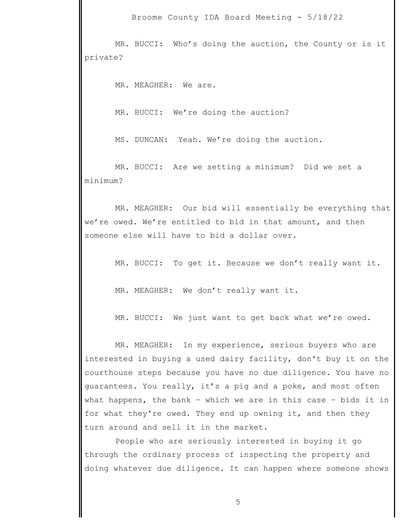MR. BUCCI: Who's doing the auction, the County or is it private?

MR. MEAGHER: We are.

MR. BUCCI: We're doing the auction?

MS. DUNCAN: Yeah. We're doing the auction.

 MR. BUCCI: Are we setting a minimum? Did we set a minimum?

 MR. MEAGHER: Our bid will essentially be everything that we're owed. We're entitled to bid in that amount, and then someone else will have to bid a dollar over.

MR. BUCCI: To get it. Because we don't really want it.

MR. MEAGHER: We don't really want it.

MR. BUCCI: We just want to get back what we're owed.

 MR. MEAGHER: In my experience, serious buyers who are interested in buying a used dairy facility, don't buy it on the courthouse steps because you have no due diligence. You have no guarantees. You really, it's a pig and a poke, and most often what happens, the bank – which we are in this case – bids it in for what they're owed. They end up owning it, and then they turn around and sell it in the market.

 People who are seriously interested in buying it go through the ordinary process of inspecting the property and doing whatever due diligence. It can happen where someone shows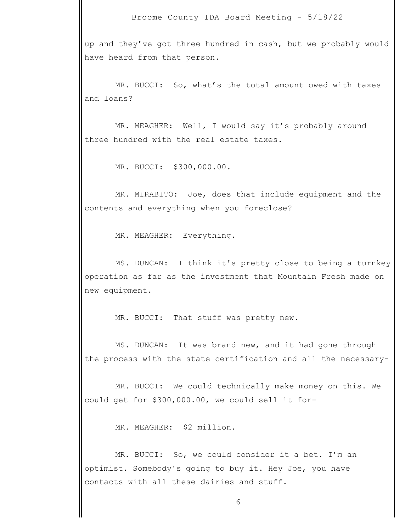up and they've got three hundred in cash, but we probably would have heard from that person.

 MR. BUCCI: So, what's the total amount owed with taxes and loans?

 MR. MEAGHER: Well, I would say it's probably around three hundred with the real estate taxes.

MR. BUCCI: \$300,000.00.

 MR. MIRABITO: Joe, does that include equipment and the contents and everything when you foreclose?

MR. MEAGHER: Everything.

 MS. DUNCAN: I think it's pretty close to being a turnkey operation as far as the investment that Mountain Fresh made on new equipment.

MR. BUCCI: That stuff was pretty new.

 MS. DUNCAN: It was brand new, and it had gone through the process with the state certification and all the necessary-

 MR. BUCCI: We could technically make money on this. We could get for \$300,000.00, we could sell it for-

MR. MEAGHER: \$2 million.

MR. BUCCI: So, we could consider it a bet. I'm an optimist. Somebody's going to buy it. Hey Joe, you have contacts with all these dairies and stuff.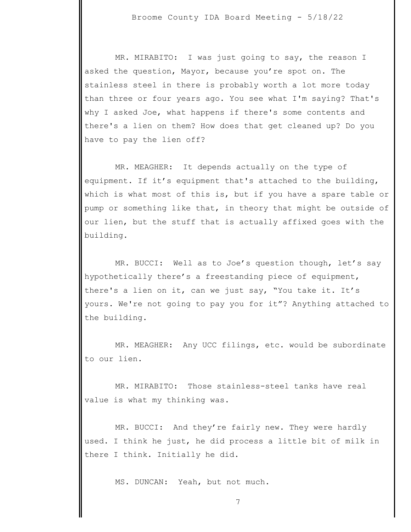MR. MIRABITO: I was just going to say, the reason I asked the question, Mayor, because you're spot on. The stainless steel in there is probably worth a lot more today than three or four years ago. You see what I'm saying? That's why I asked Joe, what happens if there's some contents and there's a lien on them? How does that get cleaned up? Do you have to pay the lien off?

 MR. MEAGHER: It depends actually on the type of equipment. If it's equipment that's attached to the building, which is what most of this is, but if you have a spare table or pump or something like that, in theory that might be outside of our lien, but the stuff that is actually affixed goes with the building.

 MR. BUCCI: Well as to Joe's question though, let's say hypothetically there's a freestanding piece of equipment, there's a lien on it, can we just say, "You take it. It's yours. We're not going to pay you for it"? Anything attached to the building.

 MR. MEAGHER: Any UCC filings, etc. would be subordinate to our lien.

 MR. MIRABITO: Those stainless-steel tanks have real value is what my thinking was.

 MR. BUCCI: And they're fairly new. They were hardly used. I think he just, he did process a little bit of milk in there I think. Initially he did.

MS. DUNCAN: Yeah, but not much.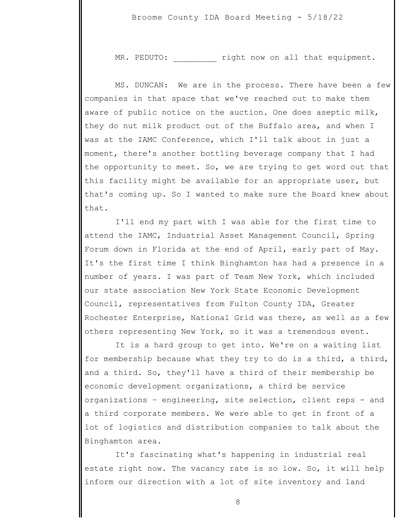MR. PEDUTO:  $right \text{row on all that equipment.}$ 

 MS. DUNCAN: We are in the process. There have been a few companies in that space that we've reached out to make them aware of public notice on the auction. One does aseptic milk, they do nut milk product out of the Buffalo area, and when I was at the IAMC Conference, which I'll talk about in just a moment, there's another bottling beverage company that I had the opportunity to meet. So, we are trying to get word out that this facility might be available for an appropriate user, but that's coming up. So I wanted to make sure the Board knew about that.

 I'll end my part with I was able for the first time to attend the IAMC, Industrial Asset Management Council, Spring Forum down in Florida at the end of April, early part of May. It's the first time I think Binghamton has had a presence in a number of years. I was part of Team New York, which included our state association New York State Economic Development Council, representatives from Fulton County IDA, Greater Rochester Enterprise, National Grid was there, as well as a few others representing New York, so it was a tremendous event.

 It is a hard group to get into. We're on a waiting list for membership because what they try to do is a third, a third, and a third. So, they'll have a third of their membership be economic development organizations, a third be service organizations – engineering, site selection, client reps - and a third corporate members. We were able to get in front of a lot of logistics and distribution companies to talk about the Binghamton area.

 It's fascinating what's happening in industrial real estate right now. The vacancy rate is so low. So, it will help inform our direction with a lot of site inventory and land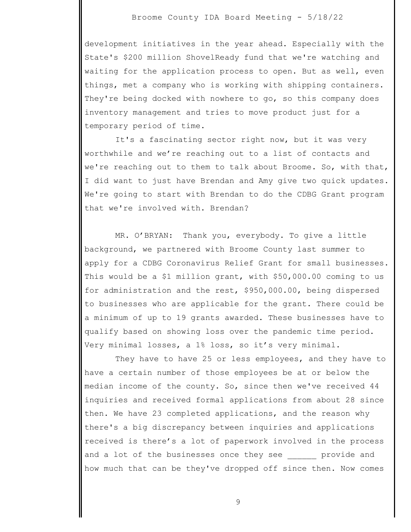development initiatives in the year ahead. Especially with the State's \$200 million ShovelReady fund that we're watching and waiting for the application process to open. But as well, even things, met a company who is working with shipping containers. They're being docked with nowhere to go, so this company does inventory management and tries to move product just for a temporary period of time.

 It's a fascinating sector right now, but it was very worthwhile and we're reaching out to a list of contacts and we're reaching out to them to talk about Broome. So, with that, I did want to just have Brendan and Amy give two quick updates. We're going to start with Brendan to do the CDBG Grant program that we're involved with. Brendan?

 MR. O'BRYAN: Thank you, everybody. To give a little background, we partnered with Broome County last summer to apply for a CDBG Coronavirus Relief Grant for small businesses. This would be a \$1 million grant, with \$50,000.00 coming to us for administration and the rest, \$950,000.00, being dispersed to businesses who are applicable for the grant. There could be a minimum of up to 19 grants awarded. These businesses have to qualify based on showing loss over the pandemic time period. Very minimal losses, a 1% loss, so it's very minimal.

 They have to have 25 or less employees, and they have to have a certain number of those employees be at or below the median income of the county. So, since then we've received 44 inquiries and received formal applications from about 28 since then. We have 23 completed applications, and the reason why there's a big discrepancy between inquiries and applications received is there's a lot of paperwork involved in the process and a lot of the businesses once they see brovide and how much that can be they've dropped off since then. Now comes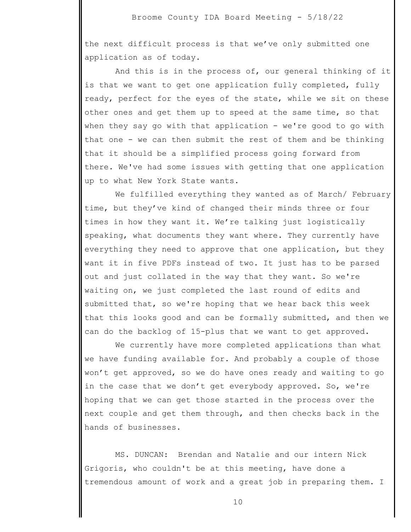the next difficult process is that we've only submitted one application as of today.

 And this is in the process of, our general thinking of it is that we want to get one application fully completed, fully ready, perfect for the eyes of the state, while we sit on these other ones and get them up to speed at the same time, so that when they say go with that application - we're good to go with that one - we can then submit the rest of them and be thinking that it should be a simplified process going forward from there. We've had some issues with getting that one application up to what New York State wants.

 We fulfilled everything they wanted as of March/ February time, but they've kind of changed their minds three or four times in how they want it. We're talking just logistically speaking, what documents they want where. They currently have everything they need to approve that one application, but they want it in five PDFs instead of two. It just has to be parsed out and just collated in the way that they want. So we're waiting on, we just completed the last round of edits and submitted that, so we're hoping that we hear back this week that this looks good and can be formally submitted, and then we can do the backlog of 15-plus that we want to get approved.

 We currently have more completed applications than what we have funding available for. And probably a couple of those won't get approved, so we do have ones ready and waiting to go in the case that we don't get everybody approved. So, we're hoping that we can get those started in the process over the next couple and get them through, and then checks back in the hands of businesses.

 MS. DUNCAN: Brendan and Natalie and our intern Nick Grigoris, who couldn't be at this meeting, have done a tremendous amount of work and a great job in preparing them. I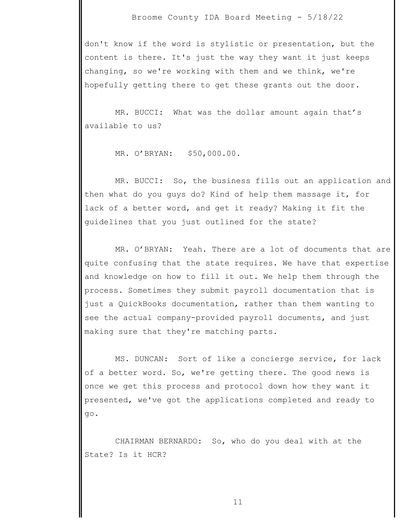don't know if the word is stylistic or presentation, but the content is there. It's just the way they want it just keeps changing, so we're working with them and we think, we're hopefully getting there to get these grants out the door.

 MR. BUCCI: What was the dollar amount again that's available to us?

MR. O'BRYAN: \$50,000.00.

 MR. BUCCI: So, the business fills out an application and then what do you guys do? Kind of help them massage it, for lack of a better word, and get it ready? Making it fit the guidelines that you just outlined for the state?

 MR. O'BRYAN: Yeah. There are a lot of documents that are quite confusing that the state requires. We have that expertise and knowledge on how to fill it out. We help them through the process. Sometimes they submit payroll documentation that is just a QuickBooks documentation, rather than them wanting to see the actual company-provided payroll documents, and just making sure that they're matching parts.

 MS. DUNCAN: Sort of like a concierge service, for lack of a better word. So, we're getting there. The good news is once we get this process and protocol down how they want it presented, we've got the applications completed and ready to go.

 CHAIRMAN BERNARDO: So, who do you deal with at the State? Is it HCR?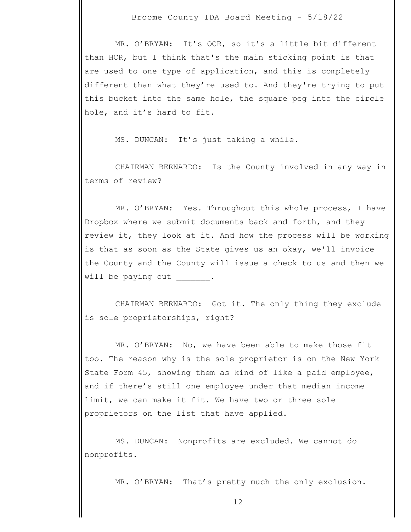MR. O'BRYAN: It's OCR, so it's a little bit different than HCR, but I think that's the main sticking point is that are used to one type of application, and this is completely different than what they're used to. And they're trying to put this bucket into the same hole, the square peg into the circle hole, and it's hard to fit.

MS. DUNCAN: It's just taking a while.

 CHAIRMAN BERNARDO: Is the County involved in any way in terms of review?

 MR. O'BRYAN: Yes. Throughout this whole process, I have Dropbox where we submit documents back and forth, and they review it, they look at it. And how the process will be working is that as soon as the State gives us an okay, we'll invoice the County and the County will issue a check to us and then we will be paying out .

 CHAIRMAN BERNARDO: Got it. The only thing they exclude is sole proprietorships, right?

 MR. O'BRYAN: No, we have been able to make those fit too. The reason why is the sole proprietor is on the New York State Form 45, showing them as kind of like a paid employee, and if there's still one employee under that median income limit, we can make it fit. We have two or three sole proprietors on the list that have applied.

 MS. DUNCAN: Nonprofits are excluded. We cannot do nonprofits.

MR. O'BRYAN: That's pretty much the only exclusion.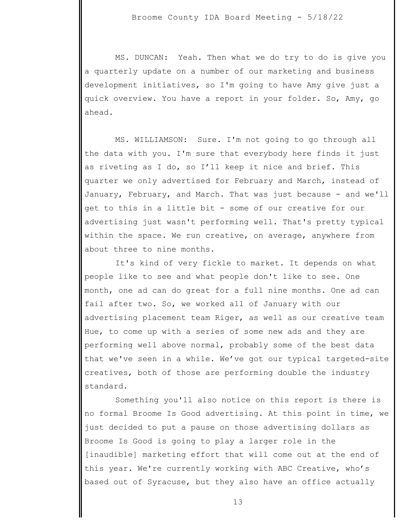MS. DUNCAN: Yeah. Then what we do try to do is give you a quarterly update on a number of our marketing and business development initiatives, so I'm going to have Amy give just a quick overview. You have a report in your folder. So, Amy, go ahead.

 MS. WILLIAMSON: Sure. I'm not going to go through all the data with you. I'm sure that everybody here finds it just as riveting as I do, so I'll keep it nice and brief. This quarter we only advertised for February and March, instead of January, February, and March. That was just because - and we'll get to this in a little bit - some of our creative for our advertising just wasn't performing well. That's pretty typical within the space. We run creative, on average, anywhere from about three to nine months.

 It's kind of very fickle to market. It depends on what people like to see and what people don't like to see. One month, one ad can do great for a full nine months. One ad can fail after two. So, we worked all of January with our advertising placement team Riger, as well as our creative team Hue, to come up with a series of some new ads and they are performing well above normal, probably some of the best data that we've seen in a while. We've got our typical targeted-site creatives, both of those are performing double the industry standard.

 Something you'll also notice on this report is there is no formal Broome Is Good advertising. At this point in time, we just decided to put a pause on those advertising dollars as Broome Is Good is going to play a larger role in the [inaudible] marketing effort that will come out at the end of this year. We're currently working with ABC Creative, who's based out of Syracuse, but they also have an office actually

13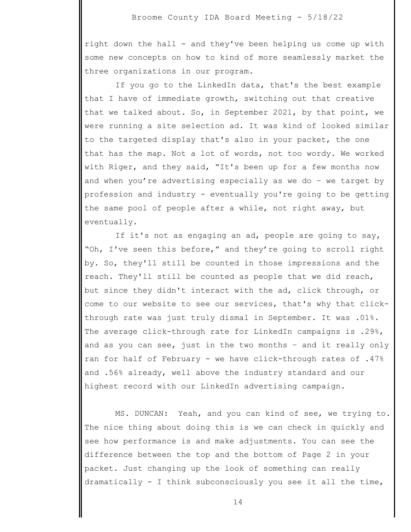right down the hall - and they've been helping us come up with some new concepts on how to kind of more seamlessly market the three organizations in our program.

 If you go to the LinkedIn data, that's the best example that I have of immediate growth, switching out that creative that we talked about. So, in September 2021, by that point, we were running a site selection ad. It was kind of looked similar to the targeted display that's also in your packet, the one that has the map. Not a lot of words, not too wordy. We worked with Riger, and they said, "It's been up for a few months now and when you're advertising especially as we do – we target by profession and industry - eventually you're going to be getting the same pool of people after a while, not right away, but eventually.

 If it's not as engaging an ad, people are going to say, "Oh, I've seen this before," and they're going to scroll right by. So, they'll still be counted in those impressions and the reach. They'll still be counted as people that we did reach, but since they didn't interact with the ad, click through, or come to our website to see our services, that's why that clickthrough rate was just truly dismal in September. It was .01%. The average click-through rate for LinkedIn campaigns is .29%, and as you can see, just in the two months – and it really only ran for half of February - we have click-through rates of .47% and .56% already, well above the industry standard and our highest record with our LinkedIn advertising campaign.

 MS. DUNCAN: Yeah, and you can kind of see, we trying to. The nice thing about doing this is we can check in quickly and see how performance is and make adjustments. You can see the difference between the top and the bottom of Page 2 in your packet. Just changing up the look of something can really dramatically - I think subconsciously you see it all the time,

14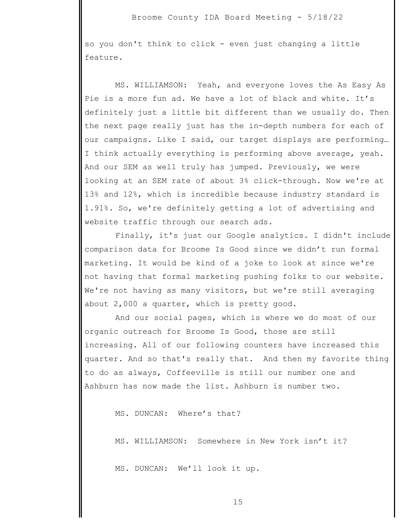so you don't think to click - even just changing a little feature.

 MS. WILLIAMSON: Yeah, and everyone loves the As Easy As Pie is a more fun ad. We have a lot of black and white. It's definitely just a little bit different than we usually do. Then the next page really just has the in-depth numbers for each of our campaigns. Like I said, our target displays are performing… I think actually everything is performing above average, yeah. And our SEM as well truly has jumped. Previously, we were looking at an SEM rate of about 3% click-through. Now we're at 13% and 12%, which is incredible because industry standard is 1.91%. So, we're definitely getting a lot of advertising and website traffic through our search ads.

 Finally, it's just our Google analytics. I didn't include comparison data for Broome Is Good since we didn't run formal marketing. It would be kind of a joke to look at since we're not having that formal marketing pushing folks to our website. We're not having as many visitors, but we're still averaging about 2,000 a quarter, which is pretty good.

 And our social pages, which is where we do most of our organic outreach for Broome Is Good, those are still increasing. All of our following counters have increased this quarter. And so that's really that. And then my favorite thing to do as always, Coffeeville is still our number one and Ashburn has now made the list. Ashburn is number two.

MS. DUNCAN: Where's that?

MS. WILLIAMSON: Somewhere in New York isn't it?

MS. DUNCAN: We'll look it up.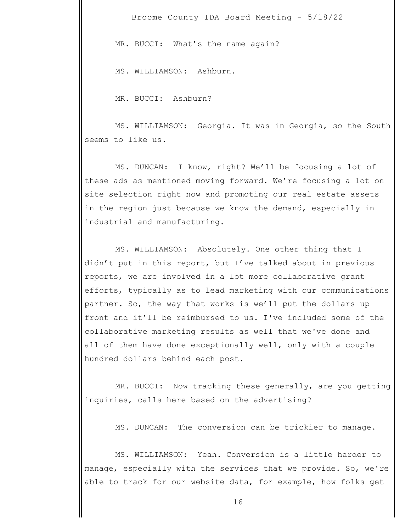MR. BUCCI: What's the name again?

MS. WILLIAMSON: Ashburn.

MR. BUCCI: Ashburn?

 MS. WILLIAMSON: Georgia. It was in Georgia, so the South seems to like us.

 MS. DUNCAN: I know, right? We'll be focusing a lot of these ads as mentioned moving forward. We're focusing a lot on site selection right now and promoting our real estate assets in the region just because we know the demand, especially in industrial and manufacturing.

 MS. WILLIAMSON: Absolutely. One other thing that I didn't put in this report, but I've talked about in previous reports, we are involved in a lot more collaborative grant efforts, typically as to lead marketing with our communications partner. So, the way that works is we'll put the dollars up front and it'll be reimbursed to us. I've included some of the collaborative marketing results as well that we've done and all of them have done exceptionally well, only with a couple hundred dollars behind each post.

 MR. BUCCI: Now tracking these generally, are you getting inquiries, calls here based on the advertising?

MS. DUNCAN: The conversion can be trickier to manage.

 MS. WILLIAMSON: Yeah. Conversion is a little harder to manage, especially with the services that we provide. So, we're able to track for our website data, for example, how folks get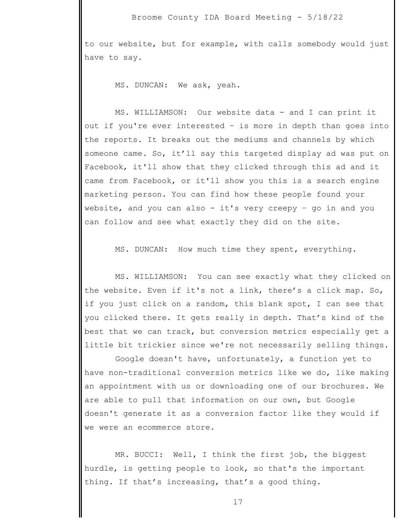to our website, but for example, with calls somebody would just have to say.

MS. DUNCAN: We ask, yeah.

 MS. WILLIAMSON: Our website data - and I can print it out if you're ever interested – is more in depth than goes into the reports. It breaks out the mediums and channels by which someone came. So, it'll say this targeted display ad was put on Facebook, it'll show that they clicked through this ad and it came from Facebook, or it'll show you this is a search engine marketing person. You can find how these people found your website, and you can also - it's very creepy – go in and you can follow and see what exactly they did on the site.

MS. DUNCAN: How much time they spent, everything.

 MS. WILLIAMSON: You can see exactly what they clicked on the website. Even if it's not a link, there's a click map. So, if you just click on a random, this blank spot, I can see that you clicked there. It gets really in depth. That's kind of the best that we can track, but conversion metrics especially get a little bit trickier since we're not necessarily selling things.

 Google doesn't have, unfortunately, a function yet to have non-traditional conversion metrics like we do, like making an appointment with us or downloading one of our brochures. We are able to pull that information on our own, but Google doesn't generate it as a conversion factor like they would if we were an ecommerce store.

 MR. BUCCI: Well, I think the first job, the biggest hurdle, is getting people to look, so that's the important thing. If that's increasing, that's a good thing.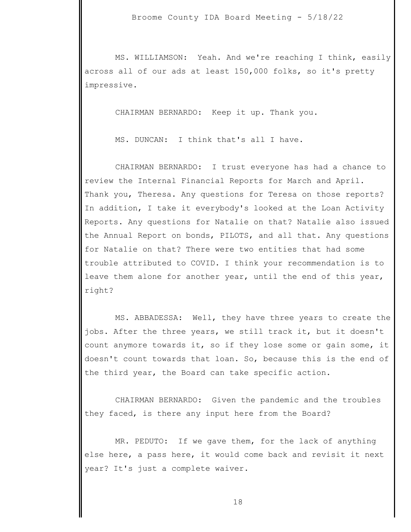MS. WILLIAMSON: Yeah. And we're reaching I think, easily across all of our ads at least 150,000 folks, so it's pretty impressive.

CHAIRMAN BERNARDO: Keep it up. Thank you.

MS. DUNCAN: I think that's all I have.

 CHAIRMAN BERNARDO: I trust everyone has had a chance to review the Internal Financial Reports for March and April. Thank you, Theresa. Any questions for Teresa on those reports? In addition, I take it everybody's looked at the Loan Activity Reports. Any questions for Natalie on that? Natalie also issued the Annual Report on bonds, PILOTS, and all that. Any questions for Natalie on that? There were two entities that had some trouble attributed to COVID. I think your recommendation is to leave them alone for another year, until the end of this year, right?

 MS. ABBADESSA: Well, they have three years to create the jobs. After the three years, we still track it, but it doesn't count anymore towards it, so if they lose some or gain some, it doesn't count towards that loan. So, because this is the end of the third year, the Board can take specific action.

 CHAIRMAN BERNARDO: Given the pandemic and the troubles they faced, is there any input here from the Board?

 MR. PEDUTO: If we gave them, for the lack of anything else here, a pass here, it would come back and revisit it next year? It's just a complete waiver.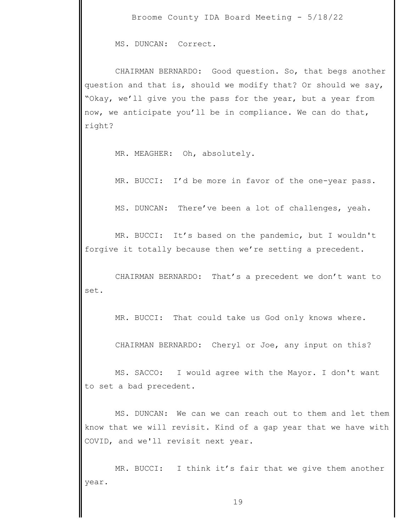MS. DUNCAN: Correct.

 CHAIRMAN BERNARDO: Good question. So, that begs another question and that is, should we modify that? Or should we say, "Okay, we'll give you the pass for the year, but a year from now, we anticipate you'll be in compliance. We can do that, right?

MR. MEAGHER: Oh, absolutely.

MR. BUCCI: I'd be more in favor of the one-year pass.

MS. DUNCAN: There've been a lot of challenges, yeah.

 MR. BUCCI: It's based on the pandemic, but I wouldn't forgive it totally because then we're setting a precedent.

 CHAIRMAN BERNARDO: That's a precedent we don't want to set.

MR. BUCCI: That could take us God only knows where.

CHAIRMAN BERNARDO: Cheryl or Joe, any input on this?

 MS. SACCO: I would agree with the Mayor. I don't want to set a bad precedent.

 MS. DUNCAN: We can we can reach out to them and let them know that we will revisit. Kind of a gap year that we have with COVID, and we'll revisit next year.

 MR. BUCCI: I think it's fair that we give them another year.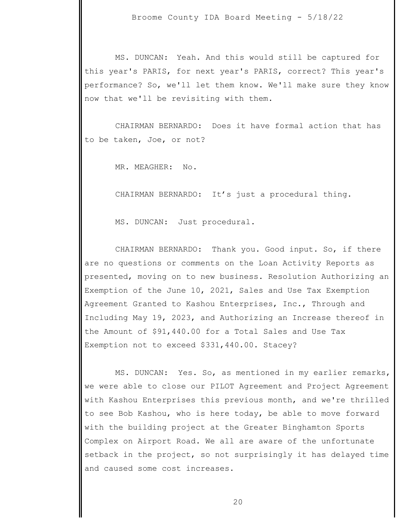MS. DUNCAN: Yeah. And this would still be captured for this year's PARIS, for next year's PARIS, correct? This year's performance? So, we'll let them know. We'll make sure they know now that we'll be revisiting with them.

 CHAIRMAN BERNARDO: Does it have formal action that has to be taken, Joe, or not?

MR. MEAGHER: No.

CHAIRMAN BERNARDO: It's just a procedural thing.

MS. DUNCAN: Just procedural.

 CHAIRMAN BERNARDO: Thank you. Good input. So, if there are no questions or comments on the Loan Activity Reports as presented, moving on to new business. Resolution Authorizing an Exemption of the June 10, 2021, Sales and Use Tax Exemption Agreement Granted to Kashou Enterprises, Inc., Through and Including May 19, 2023, and Authorizing an Increase thereof in the Amount of \$91,440.00 for a Total Sales and Use Tax Exemption not to exceed \$331,440.00. Stacey?

 MS. DUNCAN: Yes. So, as mentioned in my earlier remarks, we were able to close our PILOT Agreement and Project Agreement with Kashou Enterprises this previous month, and we're thrilled to see Bob Kashou, who is here today, be able to move forward with the building project at the Greater Binghamton Sports Complex on Airport Road. We all are aware of the unfortunate setback in the project, so not surprisingly it has delayed time and caused some cost increases.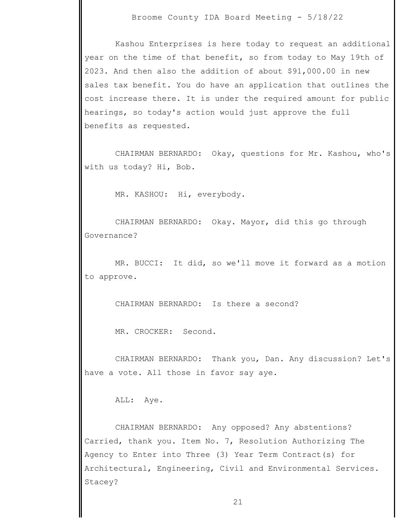Kashou Enterprises is here today to request an additional year on the time of that benefit, so from today to May 19th of 2023. And then also the addition of about \$91,000.00 in new sales tax benefit. You do have an application that outlines the cost increase there. It is under the required amount for public hearings, so today's action would just approve the full benefits as requested.

 CHAIRMAN BERNARDO: Okay, questions for Mr. Kashou, who's with us today? Hi, Bob.

MR. KASHOU: Hi, everybody.

 CHAIRMAN BERNARDO: Okay. Mayor, did this go through Governance?

 MR. BUCCI: It did, so we'll move it forward as a motion to approve.

CHAIRMAN BERNARDO: Is there a second?

MR. CROCKER: Second.

 CHAIRMAN BERNARDO: Thank you, Dan. Any discussion? Let's have a vote. All those in favor say aye.

ALL: Aye.

 CHAIRMAN BERNARDO: Any opposed? Any abstentions? Carried, thank you. Item No. 7, Resolution Authorizing The Agency to Enter into Three (3) Year Term Contract(s) for Architectural, Engineering, Civil and Environmental Services. Stacey?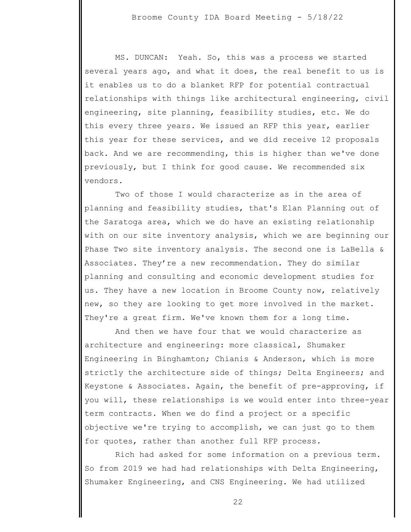MS. DUNCAN: Yeah. So, this was a process we started several years ago, and what it does, the real benefit to us is it enables us to do a blanket RFP for potential contractual relationships with things like architectural engineering, civil engineering, site planning, feasibility studies, etc. We do this every three years. We issued an RFP this year, earlier this year for these services, and we did receive 12 proposals back. And we are recommending, this is higher than we've done previously, but I think for good cause. We recommended six vendors.

 Two of those I would characterize as in the area of planning and feasibility studies, that's Elan Planning out of the Saratoga area, which we do have an existing relationship with on our site inventory analysis, which we are beginning our Phase Two site inventory analysis. The second one is LaBella & Associates. They're a new recommendation. They do similar planning and consulting and economic development studies for us. They have a new location in Broome County now, relatively new, so they are looking to get more involved in the market. They're a great firm. We've known them for a long time.

 And then we have four that we would characterize as architecture and engineering: more classical, Shumaker Engineering in Binghamton; Chianis & Anderson, which is more strictly the architecture side of things; Delta Engineers; and Keystone & Associates. Again, the benefit of pre-approving, if you will, these relationships is we would enter into three-year term contracts. When we do find a project or a specific objective we're trying to accomplish, we can just go to them for quotes, rather than another full RFP process.

 Rich had asked for some information on a previous term. So from 2019 we had had relationships with Delta Engineering, Shumaker Engineering, and CNS Engineering. We had utilized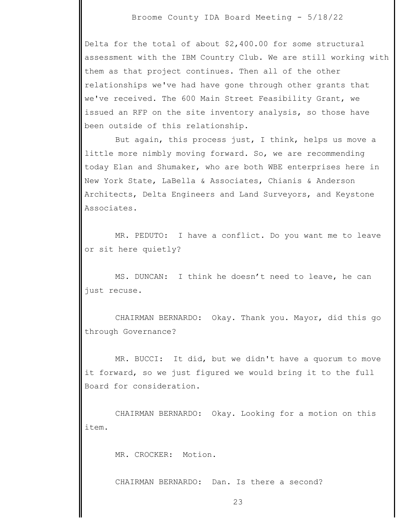Delta for the total of about \$2,400.00 for some structural assessment with the IBM Country Club. We are still working with them as that project continues. Then all of the other relationships we've had have gone through other grants that we've received. The 600 Main Street Feasibility Grant, we issued an RFP on the site inventory analysis, so those have been outside of this relationship.

 But again, this process just, I think, helps us move a little more nimbly moving forward. So, we are recommending today Elan and Shumaker, who are both WBE enterprises here in New York State, LaBella & Associates, Chianis & Anderson Architects, Delta Engineers and Land Surveyors, and Keystone Associates.

 MR. PEDUTO: I have a conflict. Do you want me to leave or sit here quietly?

 MS. DUNCAN: I think he doesn't need to leave, he can just recuse.

 CHAIRMAN BERNARDO: Okay. Thank you. Mayor, did this go through Governance?

 MR. BUCCI: It did, but we didn't have a quorum to move it forward, so we just figured we would bring it to the full Board for consideration.

 CHAIRMAN BERNARDO: Okay. Looking for a motion on this item.

MR. CROCKER: Motion.

CHAIRMAN BERNARDO: Dan. Is there a second?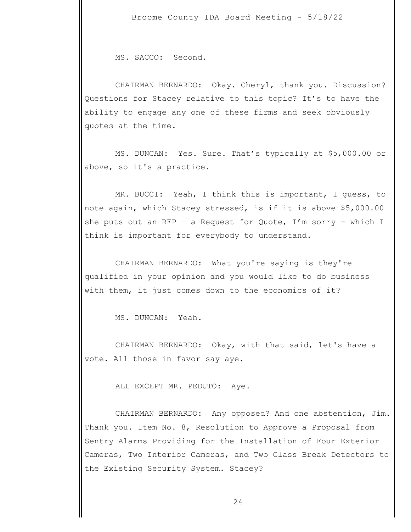MS. SACCO: Second.

 CHAIRMAN BERNARDO: Okay. Cheryl, thank you. Discussion? Questions for Stacey relative to this topic? It's to have the ability to engage any one of these firms and seek obviously quotes at the time.

 MS. DUNCAN: Yes. Sure. That's typically at \$5,000.00 or above, so it's a practice.

 MR. BUCCI: Yeah, I think this is important, I guess, to note again, which Stacey stressed, is if it is above \$5,000.00 she puts out an RFP – a Request for Quote,  $I'm$  sorry – which I think is important for everybody to understand.

 CHAIRMAN BERNARDO: What you're saying is they're qualified in your opinion and you would like to do business with them, it just comes down to the economics of it?

MS. DUNCAN: Yeah.

 CHAIRMAN BERNARDO: Okay, with that said, let's have a vote. All those in favor say aye.

ALL EXCEPT MR. PEDUTO: Aye.

 CHAIRMAN BERNARDO: Any opposed? And one abstention, Jim. Thank you. Item No. 8, Resolution to Approve a Proposal from Sentry Alarms Providing for the Installation of Four Exterior Cameras, Two Interior Cameras, and Two Glass Break Detectors to the Existing Security System. Stacey?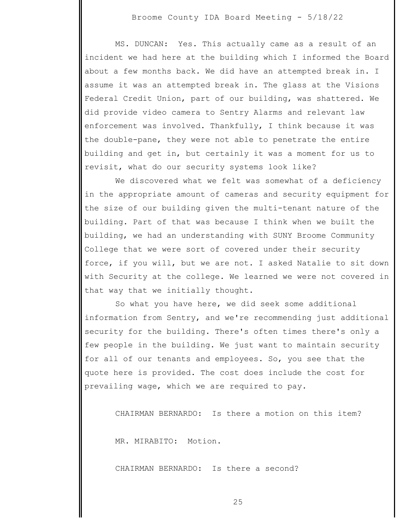MS. DUNCAN: Yes. This actually came as a result of an incident we had here at the building which I informed the Board about a few months back. We did have an attempted break in. I assume it was an attempted break in. The glass at the Visions Federal Credit Union, part of our building, was shattered. We did provide video camera to Sentry Alarms and relevant law enforcement was involved. Thankfully, I think because it was the double-pane, they were not able to penetrate the entire building and get in, but certainly it was a moment for us to revisit, what do our security systems look like?

 We discovered what we felt was somewhat of a deficiency in the appropriate amount of cameras and security equipment for the size of our building given the multi-tenant nature of the building. Part of that was because I think when we built the building, we had an understanding with SUNY Broome Community College that we were sort of covered under their security force, if you will, but we are not. I asked Natalie to sit down with Security at the college. We learned we were not covered in that way that we initially thought.

 So what you have here, we did seek some additional information from Sentry, and we're recommending just additional security for the building. There's often times there's only a few people in the building. We just want to maintain security for all of our tenants and employees. So, you see that the quote here is provided. The cost does include the cost for prevailing wage, which we are required to pay.

CHAIRMAN BERNARDO: Is there a motion on this item?

MR. MIRABITO: Motion.

CHAIRMAN BERNARDO: Is there a second?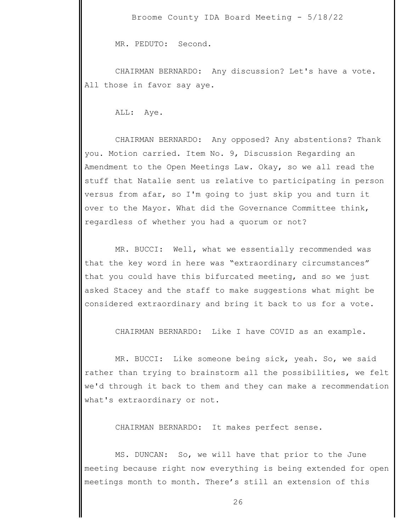MR. PEDUTO: Second.

 CHAIRMAN BERNARDO: Any discussion? Let's have a vote. All those in favor say aye.

ALL: Aye.

 CHAIRMAN BERNARDO: Any opposed? Any abstentions? Thank you. Motion carried. Item No. 9, Discussion Regarding an Amendment to the Open Meetings Law. Okay, so we all read the stuff that Natalie sent us relative to participating in person versus from afar, so I'm going to just skip you and turn it over to the Mayor. What did the Governance Committee think, regardless of whether you had a quorum or not?

 MR. BUCCI: Well, what we essentially recommended was that the key word in here was "extraordinary circumstances" that you could have this bifurcated meeting, and so we just asked Stacey and the staff to make suggestions what might be considered extraordinary and bring it back to us for a vote.

CHAIRMAN BERNARDO: Like I have COVID as an example.

 MR. BUCCI: Like someone being sick, yeah. So, we said rather than trying to brainstorm all the possibilities, we felt we'd through it back to them and they can make a recommendation what's extraordinary or not.

CHAIRMAN BERNARDO: It makes perfect sense.

 MS. DUNCAN: So, we will have that prior to the June meeting because right now everything is being extended for open meetings month to month. There's still an extension of this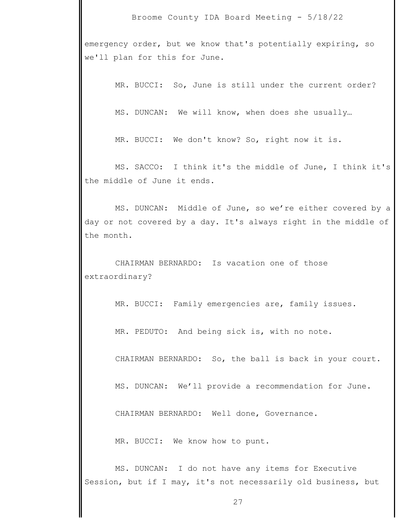emergency order, but we know that's potentially expiring, so we'll plan for this for June.

MR. BUCCI: So, June is still under the current order?

MS. DUNCAN: We will know, when does she usually…

MR. BUCCI: We don't know? So, right now it is.

 MS. SACCO: I think it's the middle of June, I think it's the middle of June it ends.

 MS. DUNCAN: Middle of June, so we're either covered by a day or not covered by a day. It's always right in the middle of the month.

 CHAIRMAN BERNARDO: Is vacation one of those extraordinary?

MR. BUCCI: Family emergencies are, family issues.

MR. PEDUTO: And being sick is, with no note.

CHAIRMAN BERNARDO: So, the ball is back in your court.

MS. DUNCAN: We'll provide a recommendation for June.

CHAIRMAN BERNARDO: Well done, Governance.

MR. BUCCI: We know how to punt.

 MS. DUNCAN: I do not have any items for Executive Session, but if I may, it's not necessarily old business, but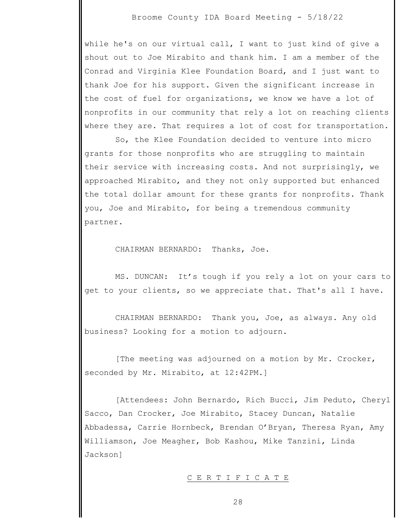while he's on our virtual call, I want to just kind of give a shout out to Joe Mirabito and thank him. I am a member of the Conrad and Virginia Klee Foundation Board, and I just want to thank Joe for his support. Given the significant increase in the cost of fuel for organizations, we know we have a lot of nonprofits in our community that rely a lot on reaching clients where they are. That requires a lot of cost for transportation.

 So, the Klee Foundation decided to venture into micro grants for those nonprofits who are struggling to maintain their service with increasing costs. And not surprisingly, we approached Mirabito, and they not only supported but enhanced the total dollar amount for these grants for nonprofits. Thank you, Joe and Mirabito, for being a tremendous community partner.

CHAIRMAN BERNARDO: Thanks, Joe.

 MS. DUNCAN: It's tough if you rely a lot on your cars to get to your clients, so we appreciate that. That's all I have.

 CHAIRMAN BERNARDO: Thank you, Joe, as always. Any old business? Looking for a motion to adjourn.

 [The meeting was adjourned on a motion by Mr. Crocker, seconded by Mr. Mirabito, at 12:42PM.]

 [Attendees: John Bernardo, Rich Bucci, Jim Peduto, Cheryl Sacco, Dan Crocker, Joe Mirabito, Stacey Duncan, Natalie Abbadessa, Carrie Hornbeck, Brendan O'Bryan, Theresa Ryan, Amy Williamson, Joe Meagher, Bob Kashou, Mike Tanzini, Linda Jackson]

## C E R T I F I C A T E